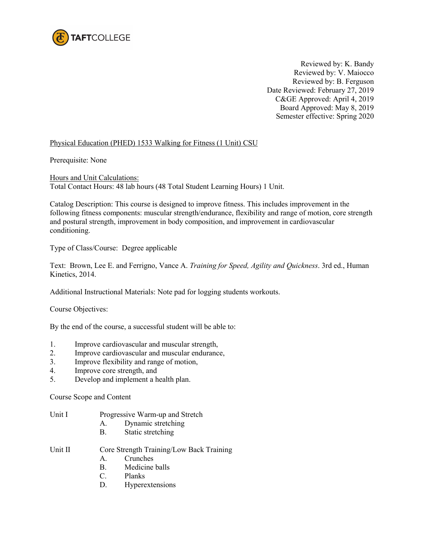

Reviewed by: K. Bandy Reviewed by: V. Maiocco Reviewed by: B. Ferguson Date Reviewed: February 27, 2019 C&GE Approved: April 4, 2019 Board Approved: May 8, 2019 Semester effective: Spring 2020

## Physical Education (PHED) 1533 Walking for Fitness (1 Unit) CSU

Prerequisite: None

Hours and Unit Calculations: Total Contact Hours: 48 lab hours (48 Total Student Learning Hours) 1 Unit.

Catalog Description: This course is designed to improve fitness. This includes improvement in the following fitness components: muscular strength/endurance, flexibility and range of motion, core strength and postural strength, improvement in body composition, and improvement in cardiovascular conditioning.

Type of Class/Course: Degree applicable

Text: Brown, Lee E. and Ferrigno, Vance A. *Training for Speed, Agility and Quickness*. 3rd ed., Human Kinetics, 2014.

Additional Instructional Materials: Note pad for logging students workouts.

Course Objectives:

By the end of the course, a successful student will be able to:

- 1. Improve cardiovascular and muscular strength,
- 2. Improve cardiovascular and muscular endurance,
- 3. Improve flexibility and range of motion,
- 4. Improve core strength, and
- 5. Develop and implement a health plan.

Course Scope and Content

- Unit I Progressive Warm-up and Stretch
	- A. Dynamic stretching
	- B. Static stretching
- Unit II Core Strength Training/Low Back Training
	- A. Crunches
	- B. Medicine balls
	- C. Planks
	- D. Hyperextensions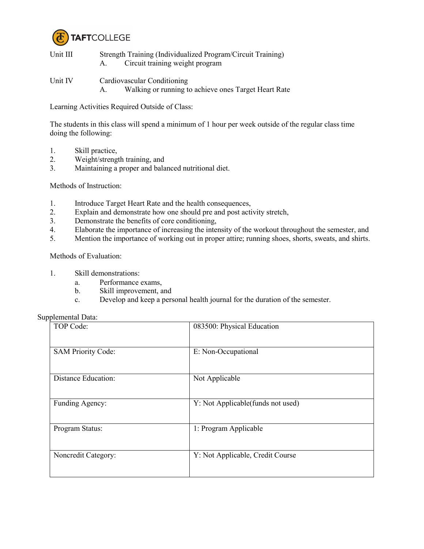

- Unit III Strength Training (Individualized Program/Circuit Training) A. Circuit training weight program
- Unit IV Cardiovascular Conditioning A. Walking or running to achieve ones Target Heart Rate

Learning Activities Required Outside of Class:

The students in this class will spend a minimum of 1 hour per week outside of the regular class time doing the following:

- 1. Skill practice,
- 2. Weight/strength training, and<br>3. Maintaining a proper and bala
- Maintaining a proper and balanced nutritional diet.

Methods of Instruction:

- 1. Introduce Target Heart Rate and the health consequences,
- 2. Explain and demonstrate how one should pre and post activity stretch,
- 3. Demonstrate the benefits of core conditioning,
- 4. Elaborate the importance of increasing the intensity of the workout throughout the semester, and
- 5. Mention the importance of working out in proper attire; running shoes, shorts, sweats, and shirts.

Methods of Evaluation:

- 1. Skill demonstrations:
	- a. Performance exams,
	- b. Skill improvement, and
	- c. Develop and keep a personal health journal for the duration of the semester.

|  | Supplemental Data: |  |
|--|--------------------|--|
|--|--------------------|--|

| TOP Code:                 | 083500: Physical Education        |
|---------------------------|-----------------------------------|
| <b>SAM Priority Code:</b> | E: Non-Occupational               |
| Distance Education:       | Not Applicable                    |
| Funding Agency:           | Y: Not Applicable(funds not used) |
| Program Status:           | 1: Program Applicable             |
| Noncredit Category:       | Y: Not Applicable, Credit Course  |